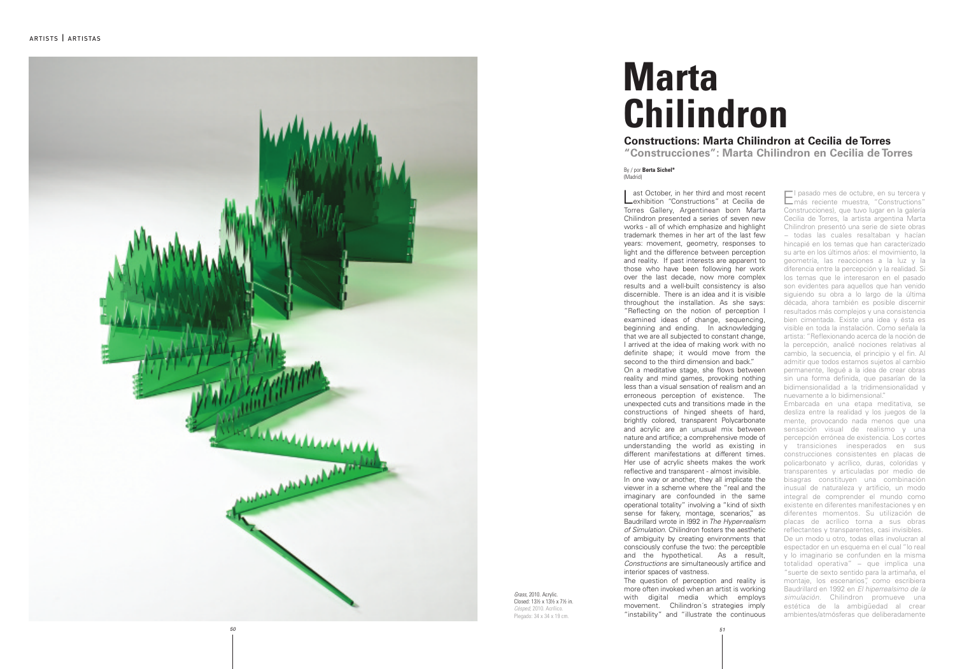

Grass, 2010. Acrylic. Closed: 13½ x 13½ x 7½ in. Césped, 2010. Acrílico. Plegado: 34 x 34 x 19 cm.

## **Marta Chilindron Constructions: Marta Chilindron at Cecilia de Torres** "Construcciones": Marta Chilindron en Cecilia de Torres

## By / por Berta Sichel\* (Madrid)

El pasado mes de octubre, en su tercera y<br>más reciente muestra, "Constructions" I pasado mes de octubre, en su tercera y Construcciones), que tuvo lugar en la galería Cecilia de Torres, la artista argentina Marta Chilindron presentó una serie de siete obras − todas las cuales resaltaban y hacían hincapié en los temas que han caracterizado su arte en los últimos años: el movimiento, la geometría, las reacciones a la luz y la diferencia entre la percepción y la realidad. Si los temas que le interesaron en el pasado son evidentes para aquellos que han venido siguiendo su obra a lo largo de la última década, ahora también es posible discernir resultados más complejos y una consistencia bien cimentada. Existe una idea y ésta es visible en toda la instalación. Como señala la artista: "Reflexionando acerca de la noción de la percepción, analicé nociones relativas al cambio, la secuencia, el principio y el fin. Al admitir que todos estamos sujetos al cambio permanente, llegué a la idea de crear obras sin una forma definida, que pasarían de la bidimensionalidad a la tridimensionalidad y nuevamente a lo bidimensional." Embarcada en una etapa meditativa, se desliza entre la realidad y los juegos de la mente, provocando nada menos que una sensación visual de realismo y una percepción errónea de existencia. Los cortes y transiciones inesperados en sus construcciones consistentes en placas de policarbonato y acrílico, duras, coloridas y transparentes y articuladas por medio de bisagras constituyen una combinación inusual de naturaleza y artificio, un modo integral de comprender el mundo como existente en diferentes manifestaciones y en diferentes momentos. Su utilización de placas de acrílico torna a sus obras reflectantes y transparentes, casi invisibles. De un modo u otro, todas ellas involucran al espectador en un esquema en el cual "lo real y lo imaginario se confunden en la misma totalidad operativa" – que implica una "suerte de sexto sentido para la artimaña, el montaje, los escenarios", como escribiera Baudrillard en 1992 en El hiperrealsimo de la simulación. Chilindron promueve una estética de la ambigüedad al crear ambientes/atmósferas que deliberadamente Lexhibition "Constructions" at Cecilia de ast October, in her third and most recent Torres Gallery, Argentinean born Marta Chilindron presented a series of seven new works - all of which emphasize and highlight trademark themes in her art of the last few years: movement, geometry, responses to light and the difference between perception and reality. If past interests are apparent to those who have been following her work over the last decade, now more complex results and a well-built consistency is also discernible. There is an idea and it is visible throughout the installation. As she says: "Reflecting on the notion of perception I examined ideas of change, sequencing, beginning and ending. In acknowledging that we are all subjected to constant change, I arrived at the idea of making work with no definite shape; it would move from the second to the third dimension and back." On a meditative stage, she flows between reality and mind games, provoking nothing less than a visual sensation of realism and an erroneous perception of existence. The unexpected cuts and transitions made in the constructions of hinged sheets of hard, brightly colored, transparent Polycarbonate and acrylic are an unusual mix between nature and artifice; a comprehensive mode of understanding the world as existing in different manifestations at different times. Her use of acrylic sheets makes the work reflective and transparent - almost invisible. In one way or another, they all implicate the viewer in a scheme where the "real and the imaginary are confounded in the same operational totality" involving a "kind of sixth sense for fakery, montage, scenarios," as Baudrillard wrote in 1992 in The Hyper-realism of Simulation. Chilindron fosters the aesthetic of ambiguity by creating environments that consciously confuse the two: the perceptible and the hypothetical. As a result, *Constructions* are simultaneously artifice and interior spaces of vastness. The question of perception and reality is more often invoked when an artist is working with digital media which employs movement. Chilindron's strategies imply

"instability" and "illustrate the continuous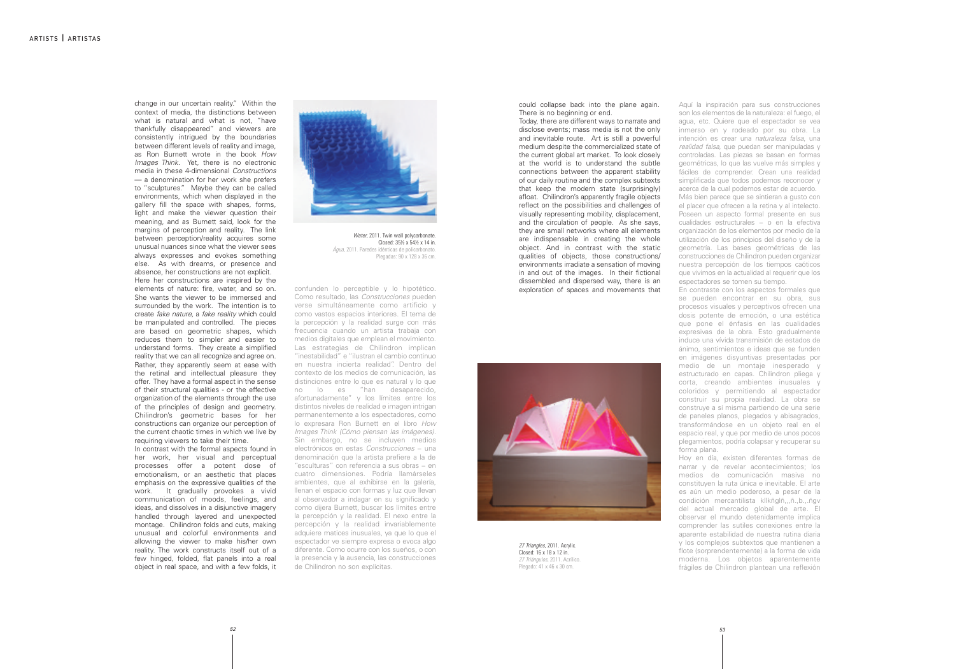change in our uncertain reality." Within the context of media, the distinctions between what is natural and what is not, "have thankfully disappeared" and viewers are consistently intrigued by the boundaries between different levels of reality and image, as Ron Burnett wrote in the book How *Images Think.* Yet, there is no electronic media in these 4-dimensional Constructions — a denomination for her work she prefers to "sculptures." Maybe they can be called environments, which when displayed in the gallery fill the space with shapes, forms, light and make the viewer question their meaning, and as Burnett said, look for the margins of perception and reality. The link between perception/reality acquires some unusual nuances since what the viewer sees always expresses and evokes something else. As with dreams, or presence and absence, her constructions are not explicit. Here her constructions are inspired by the elements of nature: fire, water, and so on. She wants the viewer to be immersed and surrounded by the work. The intention is to create fake nature, a fake reality which could be manipulated and controlled. The pieces are based on geometric shapes, which reduces them to simpler and easier to understand forms. They create a simplified reality that we can all recognize and agree on. Rather, they apparently seem at ease with the retinal and intellectual pleasure they offer. They have a formal aspect in the sense of their structural qualities - or the effective organization of the elements through the use of the principles of design and geometry. Chilindron's geometric bases for her constructions can organize our perception of the current chaotic times in which we live by requiring viewers to take their time.

In contrast with the formal aspects found in her work, her visual and perceptual processes offer a potent dose of emotionalism, or an aesthetic that places emphasis on the expressive qualities of the work. It gradually provokes a vivid communication of moods, feelings, and ideas, and dissolves in a disjunctive imagery handled through layered and unexpected montage. Chilindron folds and cuts, making unusual and colorful environments and allowing the viewer to make his/her own reality. The work constructs itself out of a few hinged, folded, flat panels into a real object in real space, and with a few folds, it



Water, 2011. Twin wall polycarbonate. Closed: 35½ x 54½ x 14 in. *Agua*, 2011. Paredes idénticas de pol icarbonato. Plegadas: 90 x 128 x 36 cm.

confunden lo perceptible y lo hipotético. Como resultado, las Construcciones pueden verse simultáneamente como artificio y como vastos espacios interiores. El tema de la percepción y la realidad surge con más frecuencia cuando un artista trabaja con medios digitales que emplean el movimiento. Las estrategias de Chilindron implican "inestabilidad" e "ilustran el cambio continuo en nuestra incierta realidad". Dentro del contexto de los medios de comunicación, las distinciones entre lo que es natural y lo que no lo es "han desaparecido, afortunadamente" y los límites entre los distintos niveles de realidad e imagen intrigan permanentemente a los espectadores, como lo expresara Ron Burnett en el libro How Images Think (Cómo piensan las imágenes). Sin embargo, no se incluyen medios electrónicos en estas Construcciones – una denominación que la artista prefiere a la de "esculturas" con referencia a sus obras - en cuatro dimensiones. Podría llamárseles ambientes, que al exhibirse en la galería, llenan el espacio con formas y luz que llevan al observador a indagar en su significado y como dijera Burnett, buscar los límites entre la percepción y la realidad. El nexo entre la percepción y la realidad invariablemente adquiere matices inusuales, ya que lo que el espectador ve siempre expresa o evoca algo diferente. Como ocurre con los sueños, o con la presencia y la ausencia, las construcciones de Chilindron no son explícitas.

could collapse back into the plane again. There is no beginning or end.

Today, there are different ways to narrate and disclose events; mass media is not the only and inevitable route. Art is still a powerful medium despite the commercialized state of the current global art market. To look closely at the world is to understand the subtle connections between the apparent stability of our daily routine and the complex subtexts that keep the modern state (surprisingly) afloat. Chilindron's apparently fragile objects reflect on the possibilities and challenges of visually representing mobility, displacement, and the circulation of people. As she says, they are small networks where all elements are indispensable in creating the whole object. And in contrast with the static qualities of objects, those constructions/ environments irradiate a sensation of moving in and out of the images. In their fictional dissembled and dispersed way, there is an exploration of spaces and movements that



27 Triangles, 2011. Acrylic. Closed: 16 x 18 x 12 in. 27 Triángulos, 2011. Acrílico. Plegado: 41 x 46 x 30 cm.

Aquí la inspiración para sus construcciones son los elementos de la naturaleza: el fuego, el agua, etc. Quiere que el espectador se vea inmerso en y rodeado por su obra. La intención es crear una naturaleza falsa, una realidad falsa, que puedan ser manipuladas y controladas. Las piezas se basan en formas geométricas, lo que las vuelve más simples y fáciles de comprender. Crean una realidad simplificada que todos podemos reconocer y acerca de la cual podemos estar de acuerdo. Más bien parece que se sintieran a gusto con el placer que ofrecen a la retina y al intelecto. Poseen un aspecto formal presente en sus cualidades estructurales - o en la efectiva organización de los elementos por medio de la utilización de los principios del diseño y de la geometría. Las bases geométricas de las construcciones de Chilindron pueden organizar nuestra percepción de los tiempos caóticos que vivimos en la actualidad al requerir que los espectadores se tomen su tiempo. En contraste con los aspectos formales que se pueden encontrar en su obra, sus procesos visuales y perceptivos ofrecen una dosis potente de emoción, o una estética que pone el énfasis en las cualidades expresivas de la obra. Esto gradualmente induce una vívida transmisión de estados de ánimo, sentimientos e ideas que se funden en imágenes disyuntivas presentadas por medio de un montaje inesperado y estructurado en capas. Chilindron pliega y corta, creando ambientes inusuales y coloridos y permitiendo al espectador construir su propia realidad. La obra se construye a sí misma partiendo de una serie de paneles planos, plegados y abisagrados, transformándose en un objeto real en el espacio real, y que por medio de unos pocos plegamientos, podría colapsar y recuperar su forma plana.

Hoy en día, existen diferentes formas de narrar y de revelar acontecimientos; los medios de comunicación masiva no constituyen la ruta única e inevitable. El arte es aún un medio poderoso, a pesar de la condición mercantilista kllkñglñ,,,ñ.,b.,.ñgv del actual mercado global de arte. El observar el mundo detenidamente implica comprender las sutiles conexiones entre la aparente estabilidad de nuestra rutina diaria y los complejos subtextos que mantienen a flote (sorprendentemente) a la forma de vida moderna. Los objetos aparentemente frágiles de Chilindron plantean una reflexión